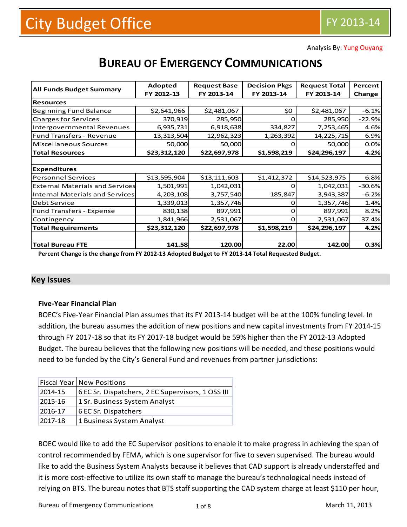Analysis By: Yung Ouyang

# **BUREAU OF EMERGENCY COMMUNICATIONS**

| <b>All Funds Budget Summary</b>        | Adopted       | <b>Request Base</b> | <b>Decision Pkgs</b> | <b>Request Total</b> | Percent  |  |  |
|----------------------------------------|---------------|---------------------|----------------------|----------------------|----------|--|--|
|                                        | FY 2012-13    | FY 2013-14          | FY 2013-14           | FY 2013-14           | Change   |  |  |
| <b>Resources</b>                       |               |                     |                      |                      |          |  |  |
| <b>Beginning Fund Balance</b>          | \$2,641,966   | \$2,481,067         | \$0                  | \$2,481,067          | $-6.1%$  |  |  |
| <b>Charges for Services</b>            | 370,919       | 285,950             |                      | 285,950              | $-22.9%$ |  |  |
| Intergovernmental Revenues             | 6,935,731     | 6,918,638           | 334,827              | 7,253,465            | 4.6%     |  |  |
| <b>Fund Transfers - Revenue</b>        | 13,313,504    | 12,962,323          | 1,263,392            | 14,225,715           | 6.9%     |  |  |
| Miscellaneous Sources                  | 50,000        | 50,000              |                      | 50,000               | 0.0%     |  |  |
| <b>Total Resources</b>                 | \$23,312,120  | \$22,697,978        | \$1,598,219          | \$24,296,197         | 4.2%     |  |  |
|                                        |               |                     |                      |                      |          |  |  |
| <b>Expenditures</b>                    |               |                     |                      |                      |          |  |  |
| <b>Personnel Services</b>              | \$13,595,904  | \$13,111,603        | \$1,412,372          | \$14,523,975         | 6.8%     |  |  |
| <b>External Materials and Services</b> | 1,501,991     | 1,042,031           |                      | 1,042,031            | $-30.6%$ |  |  |
| <b>Internal Materials and Services</b> | 4,203,108     | 3,757,540           | 185,847              | 3,943,387            | $-6.2%$  |  |  |
| Debt Service                           | 1,339,013     | 1,357,746           | $\mathbf{\Omega}$    | 1,357,746            | 1.4%     |  |  |
| <b>Fund Transfers - Expense</b>        | 830,138       | 897,991             | 0                    | 897,991              | 8.2%     |  |  |
| Contingency                            | 1,841,966     | 2,531,067           | O                    | 2,531,067            | 37.4%    |  |  |
| <b>Total Requirements</b>              | \$23,312,120  | \$22,697,978        | \$1,598,219          | \$24,296,197         | 4.2%     |  |  |
|                                        |               |                     |                      |                      |          |  |  |
| <b>Total Bureau FTE</b>                | <b>141.58</b> | 120.00              | 22.00                | 142.00               | 0.3%     |  |  |

**Percent Change is the change from FY 2012-13 Adopted Budget to FY 2013-14 Total Requested Budget.**

#### **Key Issues**

#### **Five-Year Financial Plan**

BOEC's Five-Year Financial Plan assumes that its FY 2013-14 budget will be at the 100% funding level. In addition, the bureau assumes the addition of new positions and new capital investments from FY 2014-15 through FY 2017-18 so that its FY 2017-18 budget would be 59% higher than the FY 2012-13 Adopted Budget. The bureau believes that the following new positions will be needed, and these positions would need to be funded by the City's General Fund and revenues from partner jurisdictions:

|         | Fiscal Year New Positions                         |
|---------|---------------------------------------------------|
| 2014-15 | 6 EC Sr. Dispatchers, 2 EC Supervisors, 1 OSS III |
| 2015-16 | 1 Sr. Business System Analyst                     |
| 2016-17 | 6 EC Sr. Dispatchers                              |
| 2017-18 | 1 Business System Analyst                         |

BOEC would like to add the EC Supervisor positions to enable it to make progress in achieving the span of control recommended by FEMA, which is one supervisor for five to seven supervised. The bureau would like to add the Business System Analysts because it believes that CAD support is already understaffed and it is more cost-effective to utilize its own staff to manage the bureau's technological needs instead of relying on BTS. The bureau notes that BTS staff supporting the CAD system charge at least \$110 per hour,

Bureau of Emergency Communications and  $\frac{1}{1}$  of 8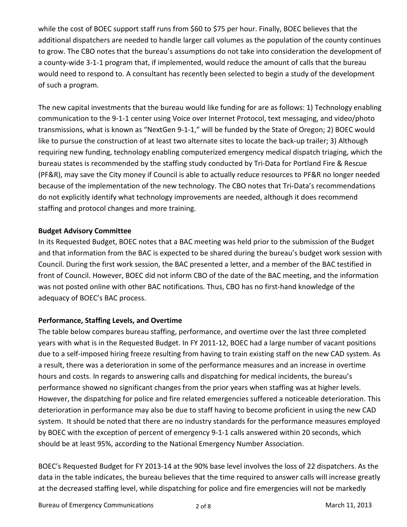while the cost of BOEC support staff runs from \$60 to \$75 per hour. Finally, BOEC believes that the additional dispatchers are needed to handle larger call volumes as the population of the county continues to grow. The CBO notes that the bureau's assumptions do not take into consideration the development of a county-wide 3-1-1 program that, if implemented, would reduce the amount of calls that the bureau would need to respond to. A consultant has recently been selected to begin a study of the development of such a program.

The new capital investments that the bureau would like funding for are as follows: 1) Technology enabling communication to the 9-1-1 center using Voice over Internet Protocol, text messaging, and video/photo transmissions, what is known as "NextGen 9-1-1," will be funded by the State of Oregon; 2) BOEC would like to pursue the construction of at least two alternate sites to locate the back-up trailer; 3) Although requiring new funding, technology enabling computerized emergency medical dispatch triaging, which the bureau states is recommended by the staffing study conducted by Tri-Data for Portland Fire & Rescue (PF&R), may save the City money if Council is able to actually reduce resources to PF&R no longer needed because of the implementation of the new technology. The CBO notes that Tri-Data's recommendations do not explicitly identify what technology improvements are needed, although it does recommend staffing and protocol changes and more training.

#### **Budget Advisory Committee**

In its Requested Budget, BOEC notes that a BAC meeting was held prior to the submission of the Budget and that information from the BAC is expected to be shared during the bureau's budget work session with Council. During the first work session, the BAC presented a letter, and a member of the BAC testified in front of Council. However, BOEC did not inform CBO of the date of the BAC meeting, and the information was not posted online with other BAC notifications. Thus, CBO has no first-hand knowledge of the adequacy of BOEC's BAC process.

#### **Performance, Staffing Levels, and Overtime**

The table below compares bureau staffing, performance, and overtime over the last three completed years with what is in the Requested Budget. In FY 2011-12, BOEC had a large number of vacant positions due to a self-imposed hiring freeze resulting from having to train existing staff on the new CAD system. As a result, there was a deterioration in some of the performance measures and an increase in overtime hours and costs. In regards to answering calls and dispatching for medical incidents, the bureau's performance showed no significant changes from the prior years when staffing was at higher levels. However, the dispatching for police and fire related emergencies suffered a noticeable deterioration. This deterioration in performance may also be due to staff having to become proficient in using the new CAD system. It should be noted that there are no industry standards for the performance measures employed by BOEC with the exception of percent of emergency 9-1-1 calls answered within 20 seconds, which should be at least 95%, according to the National Emergency Number Association.

BOEC's Requested Budget for FY 2013-14 at the 90% base level involves the loss of 22 dispatchers. As the data in the table indicates, the bureau believes that the time required to answer calls will increase greatly at the decreased staffing level, while dispatching for police and fire emergencies will not be markedly

Bureau of Emergency Communications  $\frac{2 \text{ of } 8}{2 \text{ of } 8}$  March 11, 2013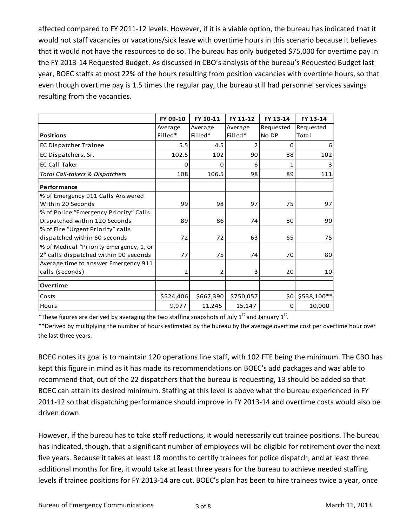affected compared to FY 2011-12 levels. However, if it is a viable option, the bureau has indicated that it would not staff vacancies or vacations/sick leave with overtime hours in this scenario because it believes that it would not have the resources to do so. The bureau has only budgeted \$75,000 for overtime pay in the FY 2013-14 Requested Budget. As discussed in CBO's analysis of the bureau's Requested Budget last year, BOEC staffs at most 22% of the hours resulting from position vacancies with overtime hours, so that even though overtime pay is 1.5 times the regular pay, the bureau still had personnel services savings resulting from the vacancies.

|                                            | FY 09-10  | FY 10-11  | FY 11-12  | FY 13-14  | FY 13-14    |
|--------------------------------------------|-----------|-----------|-----------|-----------|-------------|
|                                            | Average   | Average   | Average   | Requested | Requested   |
| <b>Positions</b>                           | Filled*   | Filled*   | $Filled*$ | No DP     | Total       |
| <b>EC Dispatcher Trainee</b>               | 5.5       | 4.5       | 2         | 0         | 6           |
| EC Dispatchers, Sr.                        | 102.5     | 102       | 90        | 88        | 102         |
| <b>EC Call Taker</b>                       | O         | 0         | 6         |           | 3           |
| <b>Total Call-takers &amp; Dispatchers</b> | 108       | 106.5     | 98        | 89        | 111         |
| Performance                                |           |           |           |           |             |
| % of Emergency 911 Calls Answered          |           |           |           |           |             |
| Within 20 Seconds                          | 99        | 98        | 97        | 75        | 97          |
| % of Police "Emergency Priority" Calls     |           |           |           |           |             |
| Dispatched within 120 Seconds              | 89        | 86        | 74        | 80        | 90          |
| % of Fire "Urgent Priority" calls          |           |           |           |           |             |
| dispatched within 60 seconds               | 72        | 72        | 63        | 65        | 75          |
| % of Medical "Priority Emergency, 1, or    |           |           |           |           |             |
| 2" calls dispatched within 90 seconds      | 77        | 75        | 74        | 70        | 80          |
| Average time to answer Emergency 911       |           |           |           |           |             |
| calls (seconds)                            | 2         | 2         | 3         | 20        | 10          |
| Overtime                                   |           |           |           |           |             |
| Costs                                      | \$524,406 | \$667,390 | \$750,057 | \$0       | \$538,100** |
| Hours                                      | 9,977     | 11,245    | 15,147    | 0         | 10,000      |

\*These figures are derived by averaging the two staffing snapshots of July  $1^{st}$  and January  $1^{st}$ .

\*\*Derived by multiplying the number of hours estimated by the bureau by the average overtime cost per overtime hour over the last three years.

BOEC notes its goal is to maintain 120 operations line staff, with 102 FTE being the minimum. The CBO has kept this figure in mind as it has made its recommendations on BOEC's add packages and was able to recommend that, out of the 22 dispatchers that the bureau is requesting, 13 should be added so that BOEC can attain its desired minimum. Staffing at this level is above what the bureau experienced in FY 2011-12 so that dispatching performance should improve in FY 2013-14 and overtime costs would also be driven down.

However, if the bureau has to take staff reductions, it would necessarily cut trainee positions. The bureau has indicated, though, that a significant number of employees will be eligible for retirement over the next five years. Because it takes at least 18 months to certify trainees for police dispatch, and at least three additional months for fire, it would take at least three years for the bureau to achieve needed staffing levels if trainee positions for FY 2013-14 are cut. BOEC's plan has been to hire trainees twice a year, once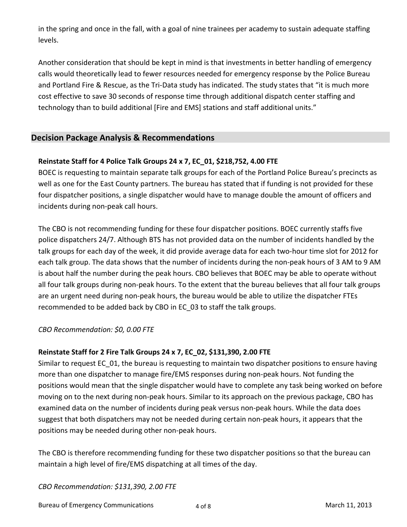in the spring and once in the fall, with a goal of nine trainees per academy to sustain adequate staffing levels.

Another consideration that should be kept in mind is that investments in better handling of emergency calls would theoretically lead to fewer resources needed for emergency response by the Police Bureau and Portland Fire & Rescue, as the Tri-Data study has indicated. The study states that "it is much more cost effective to save 30 seconds of response time through additional dispatch center staffing and technology than to build additional [Fire and EMS] stations and staff additional units."

### **Decision Package Analysis & Recommendations**

#### **Reinstate Staff for 4 Police Talk Groups 24 x 7, EC\_01, \$218,752, 4.00 FTE**

BOEC is requesting to maintain separate talk groups for each of the Portland Police Bureau's precincts as well as one for the East County partners. The bureau has stated that if funding is not provided for these four dispatcher positions, a single dispatcher would have to manage double the amount of officers and incidents during non-peak call hours.

The CBO is not recommending funding for these four dispatcher positions. BOEC currently staffs five police dispatchers 24/7. Although BTS has not provided data on the number of incidents handled by the talk groups for each day of the week, it did provide average data for each two-hour time slot for 2012 for each talk group. The data shows that the number of incidents during the non-peak hours of 3 AM to 9 AM is about half the number during the peak hours. CBO believes that BOEC may be able to operate without all four talk groups during non-peak hours. To the extent that the bureau believes that all four talk groups are an urgent need during non-peak hours, the bureau would be able to utilize the dispatcher FTEs recommended to be added back by CBO in EC\_03 to staff the talk groups.

*CBO Recommendation: \$0, 0.00 FTE*

#### **Reinstate Staff for 2 Fire Talk Groups 24 x 7, EC\_02, \$131,390, 2.00 FTE**

Similar to request EC\_01, the bureau is requesting to maintain two dispatcher positions to ensure having more than one dispatcher to manage fire/EMS responses during non-peak hours. Not funding the positions would mean that the single dispatcher would have to complete any task being worked on before moving on to the next during non-peak hours. Similar to its approach on the previous package, CBO has examined data on the number of incidents during peak versus non-peak hours. While the data does suggest that both dispatchers may not be needed during certain non-peak hours, it appears that the positions may be needed during other non-peak hours.

The CBO is therefore recommending funding for these two dispatcher positions so that the bureau can maintain a high level of fire/EMS dispatching at all times of the day.

*CBO Recommendation: \$131,390, 2.00 FTE*

Bureau of Emergency Communications  $\begin{array}{c} 4 \text{ of } 8 \\ 4 \text{ of } 8 \end{array}$  March 11, 2013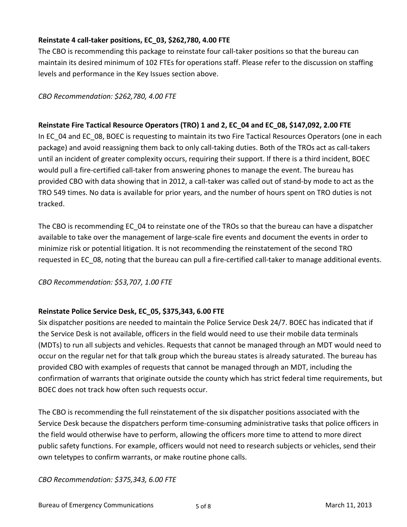#### **Reinstate 4 call-taker positions, EC\_03, \$262,780, 4.00 FTE**

The CBO is recommending this package to reinstate four call-taker positions so that the bureau can maintain its desired minimum of 102 FTEs for operations staff. Please refer to the discussion on staffing levels and performance in the Key Issues section above.

*CBO Recommendation: \$262,780, 4.00 FTE*

#### **Reinstate Fire Tactical Resource Operators (TRO) 1 and 2, EC\_04 and EC\_08, \$147,092, 2.00 FTE**

In EC 04 and EC 08, BOEC is requesting to maintain its two Fire Tactical Resources Operators (one in each package) and avoid reassigning them back to only call-taking duties. Both of the TROs act as call-takers until an incident of greater complexity occurs, requiring their support. If there is a third incident, BOEC would pull a fire-certified call-taker from answering phones to manage the event. The bureau has provided CBO with data showing that in 2012, a call-taker was called out of stand-by mode to act as the TRO 549 times. No data is available for prior years, and the number of hours spent on TRO duties is not tracked.

The CBO is recommending EC 04 to reinstate one of the TROs so that the bureau can have a dispatcher available to take over the management of large-scale fire events and document the events in order to minimize risk or potential litigation. It is not recommending the reinstatement of the second TRO requested in EC\_08, noting that the bureau can pull a fire-certified call-taker to manage additional events.

*CBO Recommendation: \$53,707, 1.00 FTE*

#### **Reinstate Police Service Desk, EC\_05, \$375,343, 6.00 FTE**

Six dispatcher positions are needed to maintain the Police Service Desk 24/7. BOEC has indicated that if the Service Desk is not available, officers in the field would need to use their mobile data terminals (MDTs) to run all subjects and vehicles. Requests that cannot be managed through an MDT would need to occur on the regular net for that talk group which the bureau states is already saturated. The bureau has provided CBO with examples of requests that cannot be managed through an MDT, including the confirmation of warrants that originate outside the county which has strict federal time requirements, but BOEC does not track how often such requests occur.

The CBO is recommending the full reinstatement of the six dispatcher positions associated with the Service Desk because the dispatchers perform time-consuming administrative tasks that police officers in the field would otherwise have to perform, allowing the officers more time to attend to more direct public safety functions. For example, officers would not need to research subjects or vehicles, send their own teletypes to confirm warrants, or make routine phone calls.

*CBO Recommendation: \$375,343, 6.00 FTE*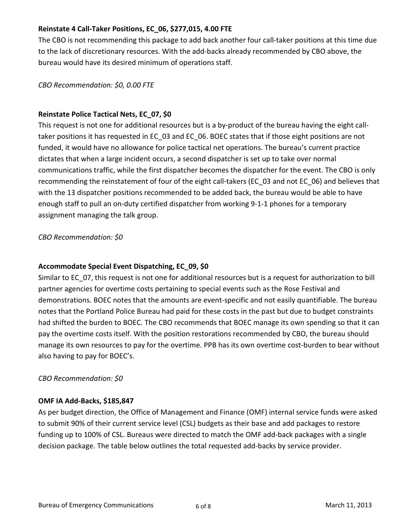#### **Reinstate 4 Call-Taker Positions, EC\_06, \$277,015, 4.00 FTE**

The CBO is not recommending this package to add back another four call-taker positions at this time due to the lack of discretionary resources. With the add-backs already recommended by CBO above, the bureau would have its desired minimum of operations staff.

*CBO Recommendation: \$0, 0.00 FTE*

#### **Reinstate Police Tactical Nets, EC\_07, \$0**

This request is not one for additional resources but is a by-product of the bureau having the eight calltaker positions it has requested in EC\_03 and EC\_06. BOEC states that if those eight positions are not funded, it would have no allowance for police tactical net operations. The bureau's current practice dictates that when a large incident occurs, a second dispatcher is set up to take over normal communications traffic, while the first dispatcher becomes the dispatcher for the event. The CBO is only recommending the reinstatement of four of the eight call-takers (EC\_03 and not EC\_06) and believes that with the 13 dispatcher positions recommended to be added back, the bureau would be able to have enough staff to pull an on-duty certified dispatcher from working 9-1-1 phones for a temporary assignment managing the talk group.

*CBO Recommendation: \$0*

#### **Accommodate Special Event Dispatching, EC\_09, \$0**

Similar to EC\_07, this request is not one for additional resources but is a request for authorization to bill partner agencies for overtime costs pertaining to special events such as the Rose Festival and demonstrations. BOEC notes that the amounts are event-specific and not easily quantifiable. The bureau notes that the Portland Police Bureau had paid for these costs in the past but due to budget constraints had shifted the burden to BOEC. The CBO recommends that BOEC manage its own spending so that it can pay the overtime costs itself. With the position restorations recommended by CBO, the bureau should manage its own resources to pay for the overtime. PPB has its own overtime cost-burden to bear without also having to pay for BOEC's.

#### *CBO Recommendation: \$0*

#### **OMF IA Add-Backs, \$185,847**

As per budget direction, the Office of Management and Finance (OMF) internal service funds were asked to submit 90% of their current service level (CSL) budgets as their base and add packages to restore funding up to 100% of CSL. Bureaus were directed to match the OMF add-back packages with a single decision package. The table below outlines the total requested add-backs by service provider.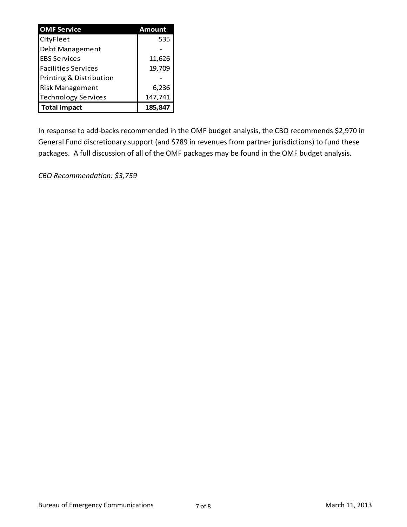| <b>OMF Service</b>         | Amount  |  |  |  |
|----------------------------|---------|--|--|--|
| CityFleet                  | 535     |  |  |  |
| Debt Management            |         |  |  |  |
| <b>EBS Services</b>        | 11,626  |  |  |  |
| Facilities Services        | 19,709  |  |  |  |
| Printing & Distribution    |         |  |  |  |
| <b>Risk Management</b>     | 6,236   |  |  |  |
| <b>Technology Services</b> | 147,741 |  |  |  |
| <b>Total impact</b>        | 185.847 |  |  |  |

In response to add-backs recommended in the OMF budget analysis, the CBO recommends \$2,970 in General Fund discretionary support (and \$789 in revenues from partner jurisdictions) to fund these packages. A full discussion of all of the OMF packages may be found in the OMF budget analysis.

*CBO Recommendation: \$3,759*